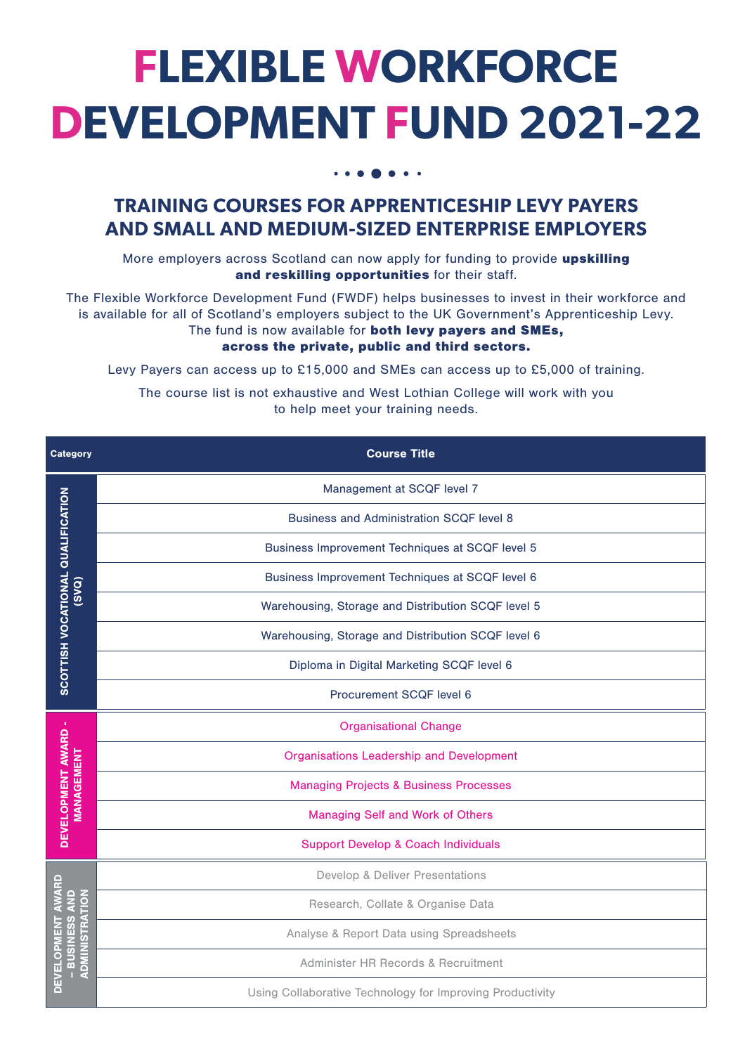## **FLEXIBLE WORKFORCE DEVELOPMENT FUND 2021-22**

## **TRAINING COURSES FOR APPRENTICESHIP LEVY PAYERS AND SMALL AND MEDIUM-SIZED ENTERPRISE EMPLOYERS**

More employers across Scotland can now apply for funding to provide upskilling and reskilling opportunities for their staff.

The Flexible Workforce Development Fund (FWDF) helps businesses to invest in their workforce and is available for all of Scotland's employers subject to the UK Government's Apprenticeship Levy. The fund is now available for both levy payers and SMEs,

## across the private, public and third sectors.

Levy Payers can access up to £15,000 and SMEs can access up to £5,000 of training.

The course list is not exhaustive and West Lothian College will work with you to help meet your training needs.

| <b>Category</b>                                       | <b>Course Title</b>                                       |
|-------------------------------------------------------|-----------------------------------------------------------|
| <b>SCOTTISH VOCATIONAL QUALIFICATION</b><br>(SVO)     | Management at SCQF level 7                                |
|                                                       | <b>Business and Administration SCQF level 8</b>           |
|                                                       | Business Improvement Techniques at SCQF level 5           |
|                                                       | Business Improvement Techniques at SCQF level 6           |
|                                                       | Warehousing, Storage and Distribution SCQF level 5        |
|                                                       | Warehousing, Storage and Distribution SCQF level 6        |
|                                                       | Diploma in Digital Marketing SCQF level 6                 |
|                                                       | Procurement SCQF level 6                                  |
| DEVELOPMENT AWARD -<br>MANAGEMENT                     | <b>Organisational Change</b>                              |
|                                                       | <b>Organisations Leadership and Development</b>           |
|                                                       | <b>Managing Projects &amp; Business Processes</b>         |
|                                                       | Managing Self and Work of Others                          |
|                                                       | <b>Support Develop &amp; Coach Individuals</b>            |
| DEVELOPMENT AWARD<br>ADMINISTRATION<br>- BUSINESS AND | Develop & Deliver Presentations                           |
|                                                       | Research, Collate & Organise Data                         |
|                                                       | Analyse & Report Data using Spreadsheets                  |
|                                                       | Administer HR Records & Recruitment                       |
|                                                       | Using Collaborative Technology for Improving Productivity |